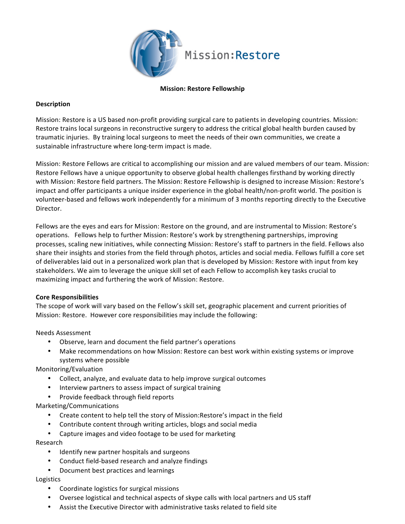

## **Mission: Restore Fellowship**

# **Description**

Mission: Restore is a US based non-profit providing surgical care to patients in developing countries. Mission: Restore trains local surgeons in reconstructive surgery to address the critical global health burden caused by traumatic injuries. By training local surgeons to meet the needs of their own communities, we create a sustainable infrastructure where long-term impact is made.

Mission: Restore Fellows are critical to accomplishing our mission and are valued members of our team. Mission: Restore Fellows have a unique opportunity to observe global health challenges firsthand by working directly with Mission: Restore field partners. The Mission: Restore Fellowship is designed to increase Mission: Restore's impact and offer participants a unique insider experience in the global health/non-profit world. The position is volunteer-based and fellows work independently for a minimum of 3 months reporting directly to the Executive Director. 

Fellows are the eyes and ears for Mission: Restore on the ground, and are instrumental to Mission: Restore's operations. Fellows help to further Mission: Restore's work by strengthening partnerships, improving processes, scaling new initiatives, while connecting Mission: Restore's staff to partners in the field. Fellows also share their insights and stories from the field through photos, articles and social media. Fellows fulfill a core set of deliverables laid out in a personalized work plan that is developed by Mission: Restore with input from key stakeholders. We aim to leverage the unique skill set of each Fellow to accomplish key tasks crucial to maximizing impact and furthering the work of Mission: Restore.

## **Core Responsibilities**

The scope of work will vary based on the Fellow's skill set, geographic placement and current priorities of Mission: Restore. However core responsibilities may include the following:

## Needs Assessment

- Observe, learn and document the field partner's operations
- Make recommendations on how Mission: Restore can best work within existing systems or improve systems where possible

Monitoring/Evaluation

- Collect, analyze, and evaluate data to help improve surgical outcomes
- Interview partners to assess impact of surgical training
- Provide feedback through field reports

Marketing/Communications

- Create content to help tell the story of Mission:Restore's impact in the field
- Contribute content through writing articles, blogs and social media
- Capture images and video footage to be used for marketing

## Research

- Identify new partner hospitals and surgeons
- Conduct field-based research and analyze findings
- Document best practices and learnings

## Logistics

- Coordinate logistics for surgical missions
- Oversee logistical and technical aspects of skype calls with local partners and US staff
- Assist the Executive Director with administrative tasks related to field site